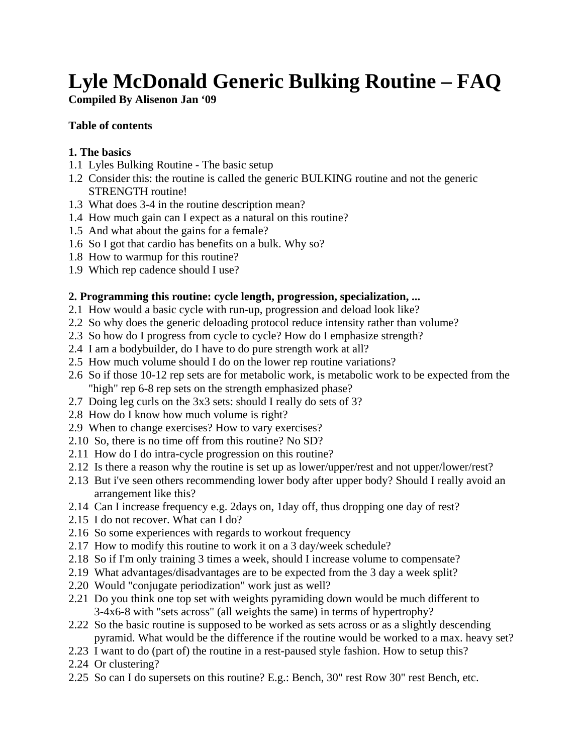# **Lyle McDonald Generic Bulking Routine – FAQ**

## **Compiled By Alisenon Jan '09**

#### **Table of contents**

## **1. The basics**

- 1.1 Lyles Bulking Routine The basic setup
- [1.2 Consider this: the routine is called the generic BULKING routine and not the generic](#page-2-0)  STRENGTH routine!
- 1.3 What does 3-4 in the routine description mean?
- [1.4 How much gain can I expect as a natural on this routine?](#page-3-0)
- 1.5 And what about the gains for a female?
- 1.6 So I got that cardio has benefits on a bulk. Why so?
- 1.8 How to warmup for this routine?
- [1.9 Which rep cadence should I use?](#page-4-0)

## **2. Programming this routine: cycle length, progression, specialization, ...**

- 2.1 How would a basic cycle with run-up, progression and deload look like?
- [2.2 So why does the generic deloading protocol reduce intensity rather than volume?](#page-5-0)
- 2.3 So how do I progress from cycle to cycle? How do I emphasize strength?
- [2.4 I am a bodybuilder, do I have to do pure strength work at all?](#page-6-0)
- 2.5 How much volume should I do on the lower rep routine variations?
- [2.6 So if those 10-12 rep sets are for metabolic work, is metabolic work to be expected from the](#page-7-0)  "high" rep 6-8 rep sets on the strength emphasized phase?
- [2.7 Doing leg curls on the 3x3 sets: should I really do sets of 3?](#page-8-0)
- 2.8 How do I know how much volume is right?
- 2.9 When to change exercises? How to vary exercises?
- 2.10 So, there is no time off from this routine? No SD?
- [2.11 How do I do intra-cycle progression on this routine?](#page-9-0)
- [2.12 Is there a reason why the routine is set up as lower/upper/rest and not upper/lower/rest?](#page-11-0)
- 2.13 But i've seen others recommending lower body after upper body? Should I really avoid an arrangement like this?
- 2.14 Can I increase frequency e.g. 2days on, 1day off, thus dropping one day of rest?
- 2.15 I do not recover. What can I do?
- 2.16 So some experiences with regards to workout frequency
- 2.17 How to modify this routine to work it on a 3 day/week schedule?
- 2.18 So if I'm only training 3 times a week, should I increase volume to compensate?
- [2.19 What advantages/disadvantages are to be expected from the 3 day a week split?](#page-14-0)
- 2.20 Would "conjugate periodization" work just as well?
- [2.21 Do you think one top set with weights pyramiding down would be much different to](#page-15-0)  3-4x6-8 with "sets across" (all weights the same) in terms of hypertrophy?
- 2.22 So the basic routine is supposed to be worked as sets across or as a slightly descending  [pyramid. What would be the difference if the routine would be worked to a max. heavy set?](#page-16-0)
- 2.23 I want to do (part of) the routine in a rest-paused style fashion. How to setup this?
- 2.24 Or clustering?
- [2.25 So can I do supersets on this routine? E.g.: Bench, 30" rest Row 30" rest Bench, etc.](#page-17-0)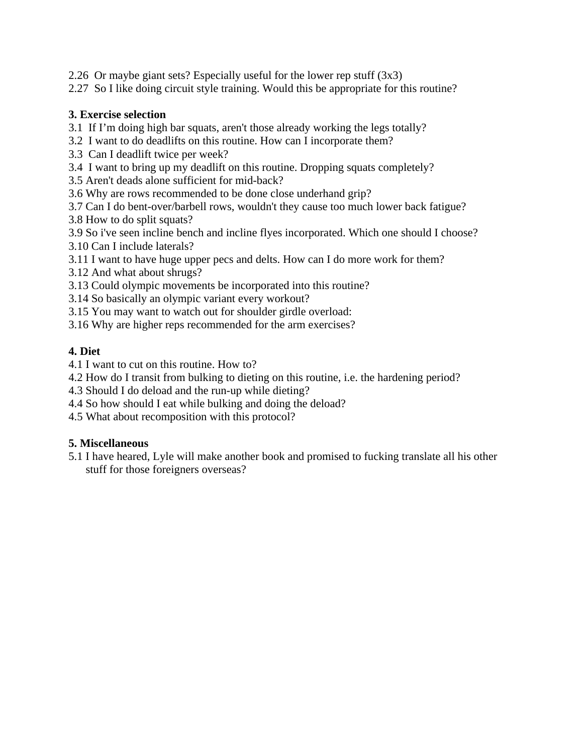2.26 Or maybe giant sets? Especially useful for the lower rep stuff (3x3)

[2.27 So I like doing circuit style training. Would this be appropriate for this routine?](#page-17-0)

#### **3. Exercise selection**

- [3.1 If I'm doing high bar squats, aren't those already working the legs totally?](#page-18-0)
- 3.2 I want to do deadlifts on this routine. How can I incorporate them?
- 3.3 Can I deadlift twice per week?
- [3.4 I want to bring up my deadlift on this routine. Dropping squats completely?](#page-19-0)
- 3.5 Aren't deads alone sufficient for mid-back?
- 3.6 Why are rows recommended to be done close underhand grip?
- 3.7 Can I do bent-over/barbell rows, wouldn't they cause too much lower back fatigue?
- 3.8 How to do split squats?
- [3.9 So i've seen incline bench and incline flyes incorporated. Which one should I choose?](#page-20-0) 3.10 Can I include laterals?
- [3.11 I want to have huge upper pecs and delts. How can I do more work for them?](#page-21-0)
- 3.12 And what about shrugs?
- [3.13 Could olympic movements be incorporated into this routine?](#page-22-0)
- 3.14 So basically an olympic variant every workout?
- [3.15 You may want to watch out for shoulder girdle overload:](#page-23-0)
- [3.16 Why are higher reps recommended for the arm exercises?](#page-24-0)

## **4. Diet**

- 4.1 I want to cut on this routine. How to?
- [4.2 How do I transit from bulking to dieting on this routine, i.e. the hardening period?](#page-25-0)
- 4.3 Should I do deload and the run-up while dieting?
- [4.4 So how should I eat while bulking and doing the deload?](#page-26-0)
- 4.5 What about recomposition with this protocol?

## **5. Miscellaneous**

[5.1 I have heared, Lyle will make another book and promised to fucking translate all his other](#page-26-0) stuff for those foreigners overseas?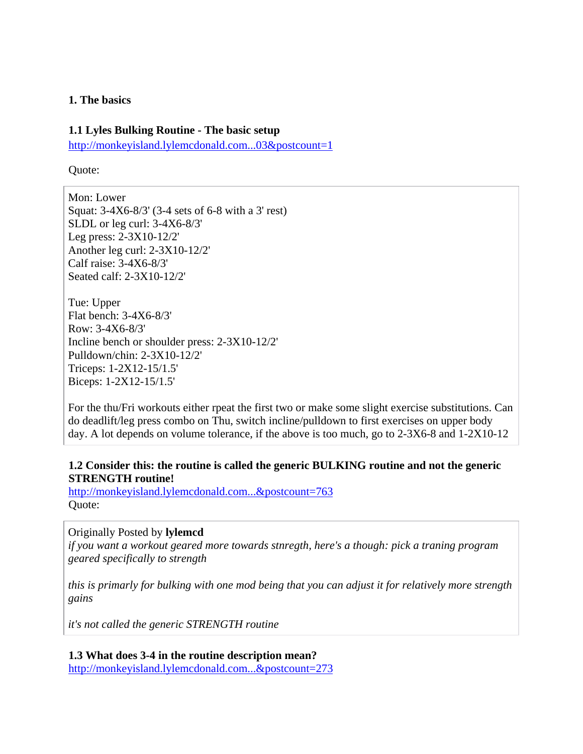#### <span id="page-2-0"></span>**1. The basics**

#### **1.1 Lyles Bulking Routine - The basic setup**

[http://monkeyisland.lylemcdonald.com...03&postcount=1](http://monkeyisland.lylemcdonald.com/showpost.php?p=113403&postcount=1)

Quote:

Mon: Lower Squat: 3-4X6-8/3' (3-4 sets of 6-8 with a 3' rest) SLDL or leg curl: 3-4X6-8/3' Leg press: 2-3X10-12/2' Another leg curl: 2-3X10-12/2' Calf raise: 3-4X6-8/3' Seated calf: 2-3X10-12/2'

Tue: Upper Flat bench: 3-4X6-8/3' Row: 3-4X6-8/3' Incline bench or shoulder press: 2-3X10-12/2' Pulldown/chin: 2-3X10-12/2' Triceps: 1-2X12-15/1.5' Biceps: 1-2X12-15/1.5'

For the thu/Fri workouts either rpeat the first two or make some slight exercise substitutions. Can do deadlift/leg press combo on Thu, switch incline/pulldown to first exercises on upper body day. A lot depends on volume tolerance, if the above is too much, go to 2-3X6-8 and 1-2X10-12

#### **1.2 Consider this: the routine is called the generic BULKING routine and not the generic STRENGTH routine!**

[http://monkeyisland.lylemcdonald.com...&postcount=763](http://monkeyisland.lylemcdonald.com/showpost.php?p=666307&postcount=763) Quote:

#### Originally Posted by **lylemcd**

*if you want a workout geared more towards stnregth, here's a though: pick a traning program geared specifically to strength* 

*this is primarly for bulking with one mod being that you can adjust it for relatively more strength gains* 

*it's not called the generic STRENGTH routine* 

**1.3 What does 3-4 in the routine description mean?** [http://monkeyisland.lylemcdonald.com...&postcount=273](http://monkeyisland.lylemcdonald.com/showpost.php?p=251369&postcount=273)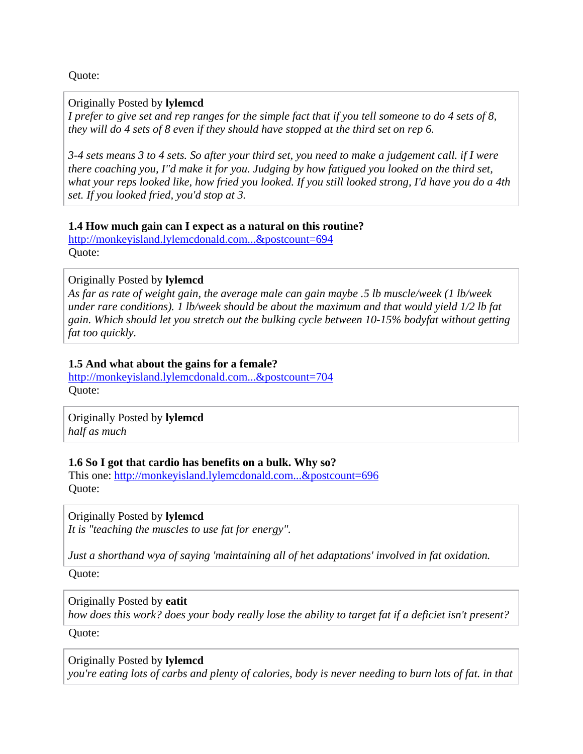<span id="page-3-0"></span>Quote:

#### Originally Posted by **lylemcd**

*I prefer to give set and rep ranges for the simple fact that if you tell someone to do 4 sets of 8, they will do 4 sets of 8 even if they should have stopped at the third set on rep 6.* 

*3-4 sets means 3 to 4 sets. So after your third set, you need to make a judgement call. if I were there coaching you, I"d make it for you. Judging by how fatigued you looked on the third set, what your reps looked like, how fried you looked. If you still looked strong, I'd have you do a 4th set. If you looked fried, you'd stop at 3.* 

#### **1.4 How much gain can I expect as a natural on this routine?**

[http://monkeyisland.lylemcdonald.com...&postcount=694](http://monkeyisland.lylemcdonald.com/showpost.php?p=435109&postcount=694) Quote:

#### Originally Posted by **lylemcd**

*As far as rate of weight gain, the average male can gain maybe .5 lb muscle/week (1 lb/week under rare conditions). 1 lb/week should be about the maximum and that would yield 1/2 lb fat gain. Which should let you stretch out the bulking cycle between 10-15% bodyfat without getting fat too quickly.* 

#### **1.5 And what about the gains for a female?**

[http://monkeyisland.lylemcdonald.com...&postcount=704](http://monkeyisland.lylemcdonald.com/showpost.php?p=435881&postcount=704) Quote:

Originally Posted by **lylemcd** *half as much* 

#### **1.6 So I got that cardio has benefits on a bulk. Why so?**

This one: [http://monkeyisland.lylemcdonald.com...&postcount=696](http://monkeyisland.lylemcdonald.com/showpost.php?p=435197&postcount=696) Quote:

Originally Posted by **lylemcd** *It is "teaching the muscles to use fat for energy".* 

*Just a shorthand wya of saying 'maintaining all of het adaptations' involved in fat oxidation.* 

Quote:

Originally Posted by **eatit**

*how does this work? does your body really lose the ability to target fat if a deficiet isn't present?* 

Quote:

Originally Posted by **lylemcd** *you're eating lots of carbs and plenty of calories, body is never needing to burn lots of fat. in that*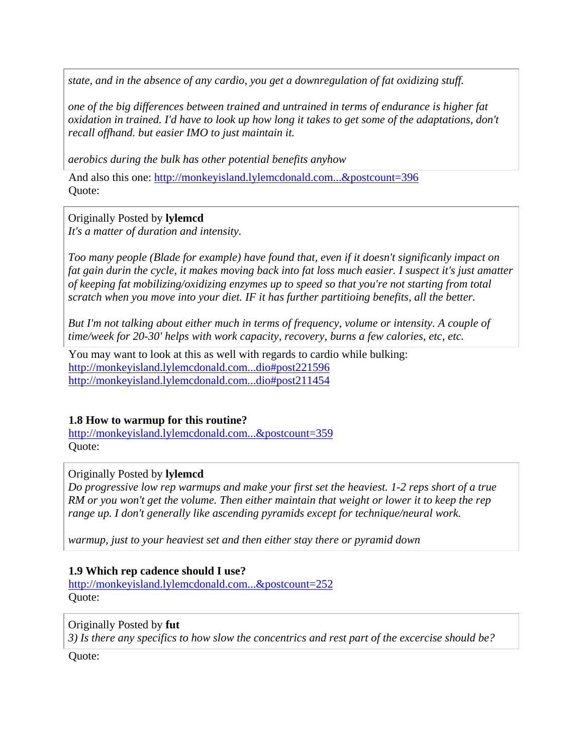<span id="page-4-0"></span>*state, and in the absence of any cardio, you get a downregulation of fat oxidizing stuff.* 

*one of the big differences between trained and untrained in terms of endurance is higher fat oxidation in trained. I'd have to look up how long it takes to get some of the adaptations, don't recall offhand. but easier IMO to just maintain it.* 

*aerobics during the bulk has other potential benefits anyhow* 

And also this one: [http://monkeyisland.lylemcdonald.com...&postcount=396](http://monkeyisland.lylemcdonald.com/showpost.php?p=280807&postcount=396) Quote:

Originally Posted by **lylemcd** *It's a matter of duration and intensity.* 

*Too many people (Blade for example) have found that, even if it doesn't significanly impact on fat gain durin the cycle, it makes moving back into fat loss much easier. I suspect it's just amatter of keeping fat mobilizing/oxidizing enzymes up to speed so that you're not starting from total scratch when you move into your diet. IF it has further partitioing benefits, all the better.* 

*But I'm not talking about either much in terms of frequency, volume or intensity. A couple of time/week for 20-30' helps with work capacity, recovery, burns a few calories, etc, etc.* 

You may want to look at this as well with regards to cardio while bulking: [http://monkeyisland.lylemcdonald.com...dio#post221596](http://monkeyisland.lylemcdonald.com/showthread.php?p=221596&highlight=cardio#post221596) [http://monkeyisland.lylemcdonald.com...dio#post211454](http://monkeyisland.lylemcdonald.com/showthread.php?p=211454&highlight=cardio#post211454)

#### **1.8 How to warmup for this routine?**

[http://monkeyisland.lylemcdonald.com...&postcount=359](http://monkeyisland.lylemcdonald.com/showpost.php?p=265454&postcount=359) Quote:

#### Originally Posted by **lylemcd**

*Do progressive low rep warmups and make your first set the heaviest. 1-2 reps short of a true RM or you won't get the volume. Then either maintain that weight or lower it to keep the rep range up. I don't generally like ascending pyramids except for technique/neural work.* 

*warmup, just to your heaviest set and then either stay there or pyramid down* 

#### **1.9 Which rep cadence should I use?**

[http://monkeyisland.lylemcdonald.com...&postcount=252](http://monkeyisland.lylemcdonald.com/showpost.php?p=238731&postcount=252) Quote:

#### Originally Posted by **fut**

*3) Is there any specifics to how slow the concentrics and rest part of the excercise should be?* 

Quote: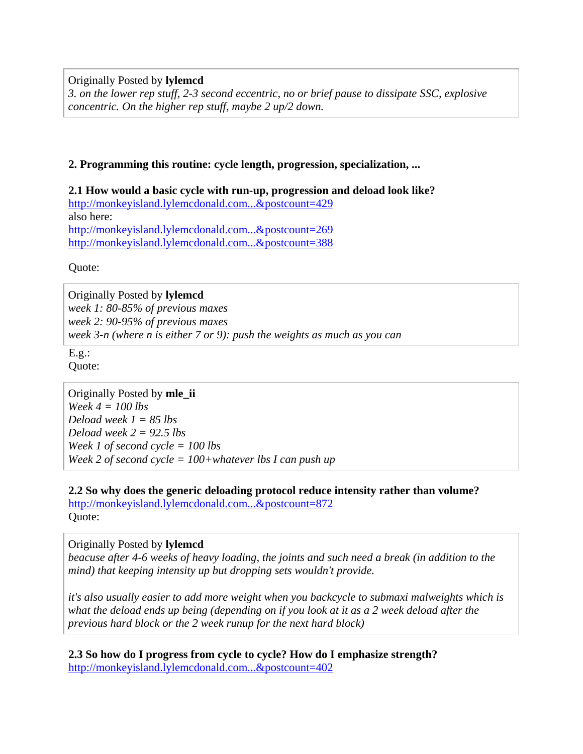<span id="page-5-0"></span>Originally Posted by **lylemcd**

*3. on the lower rep stuff, 2-3 second eccentric, no or brief pause to dissipate SSC, explosive concentric. On the higher rep stuff, maybe 2 up/2 down.* 

#### **2. Programming this routine: cycle length, progression, specialization, ...**

**2.1 How would a basic cycle with run-up, progression and deload look like?** [http://monkeyisland.lylemcdonald.com...&postcount=429](http://monkeyisland.lylemcdonald.com/showpost.php?p=286900&postcount=429) also here: [http://monkeyisland.lylemcdonald.com...&postcount=269](http://monkeyisland.lylemcdonald.com/showpost.php?p=244852&postcount=269) [http://monkeyisland.lylemcdonald.com...&postcount=388](http://monkeyisland.lylemcdonald.com/showpost.php?p=279941&postcount=388)

Quote:

Originally Posted by **lylemcd** *week 1: 80-85% of previous maxes week 2: 90-95% of previous maxes week 3-n (where n is either 7 or 9): push the weights as much as you can* 

 $E.g.:$ Quote:

Originally Posted by **mle\_ii** *Week 4 = 100 lbs Deload week 1 = 85 lbs Deload week 2 = 92.5 lbs Week 1 of second cycle = 100 lbs Week 2 of second cycle = 100+whatever lbs I can push up* 

**2.2 So why does the generic deloading protocol reduce intensity rather than volume?** [http://monkeyisland.lylemcdonald.com...&postcount=872](http://monkeyisland.lylemcdonald.com/showpost.php?p=743947&postcount=872) Quote:

## Originally Posted by **lylemcd**

*beacuse after 4-6 weeks of heavy loading, the joints and such need a break (in addition to the mind) that keeping intensity up but dropping sets wouldn't provide.* 

*it's also usually easier to add more weight when you backcycle to submaxi malweights which is what the deload ends up being (depending on if you look at it as a 2 week deload after the previous hard block or the 2 week runup for the next hard block)* 

**2.3 So how do I progress from cycle to cycle? How do I emphasize strength?** [http://monkeyisland.lylemcdonald.com...&postcount=402](http://monkeyisland.lylemcdonald.com/showpost.php?p=283786&postcount=402)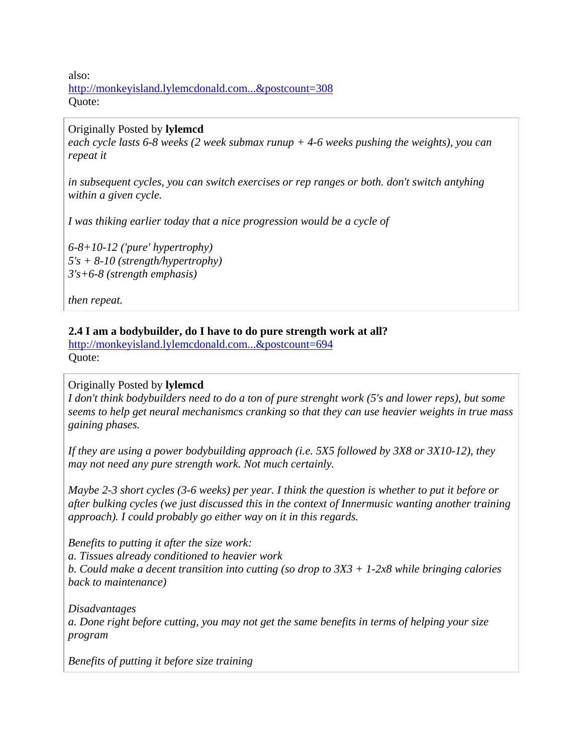<span id="page-6-0"></span>also: [http://monkeyisland.lylemcdonald.com...&postcount=308](http://monkeyisland.lylemcdonald.com/showpost.php?p=256122&postcount=308) Quote:

#### Originally Posted by **lylemcd**

*each cycle lasts 6-8 weeks (2 week submax runup + 4-6 weeks pushing the weights), you can repeat it* 

*in subsequent cycles, you can switch exercises or rep ranges or both. don't switch antyhing within a given cycle.* 

*I was thiking earlier today that a nice progression would be a cycle of* 

*6-8+10-12 ('pure' hypertrophy) 5's + 8-10 (strength/hypertrophy) 3's+6-8 (strength emphasis)* 

*then repeat.* 

#### **2.4 I am a bodybuilder, do I have to do pure strength work at all?**

[http://monkeyisland.lylemcdonald.com...&postcount=694](http://monkeyisland.lylemcdonald.com/showpost.php?p=435109&postcount=694) Quote:

#### Originally Posted by **lylemcd**

*I don't think bodybuilders need to do a ton of pure strenght work (5's and lower reps), but some seems to help get neural mechanismcs cranking so that they can use heavier weights in true mass gaining phases.* 

*If they are using a power bodybuilding approach (i.e. 5X5 followed by 3X8 or 3X10-12), they may not need any pure strength work. Not much certainly.* 

*Maybe 2-3 short cycles (3-6 weeks) per year. I think the question is whether to put it before or after bulking cycles (we just discussed this in the context of Innermusic wanting another training approach). I could probably go either way on it in this regards.* 

*Benefits to putting it after the size work: a. Tissues already conditioned to heavier work b. Could make a decent transition into cutting (so drop to 3X3 + 1-2x8 while bringing calories back to maintenance)* 

*Disadvantages a. Done right before cutting, you may not get the same benefits in terms of helping your size program* 

*Benefits of putting it before size training*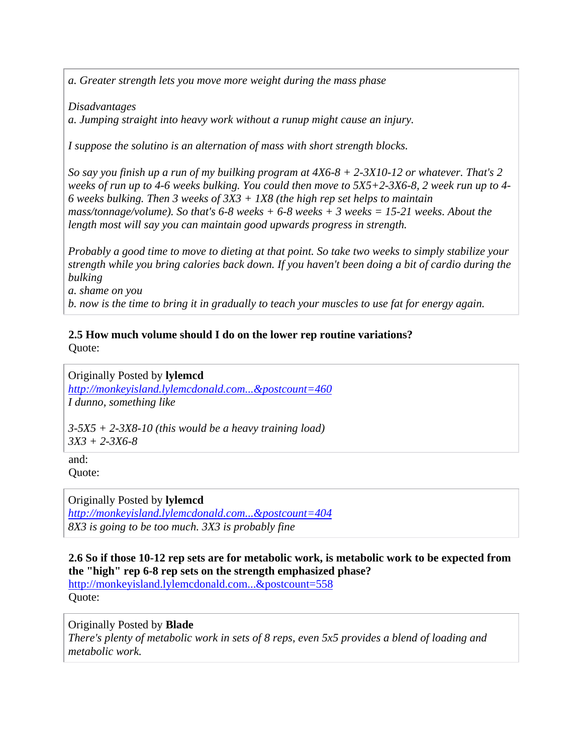<span id="page-7-0"></span>*a. Greater strength lets you move more weight during the mass phase* 

*Disadvantages* 

*a. Jumping straight into heavy work without a runup might cause an injury.* 

*I suppose the solutino is an alternation of mass with short strength blocks.* 

*So say you finish up a run of my builking program at 4X6-8 + 2-3X10-12 or whatever. That's 2 weeks of run up to 4-6 weeks bulking. You could then move to 5X5+2-3X6-8, 2 week run up to 4- 6 weeks bulking. Then 3 weeks of 3X3 + 1X8 (the high rep set helps to maintain mass/tonnage/volume). So that's 6-8 weeks + 6-8 weeks + 3 weeks = 15-21 weeks. About the length most will say you can maintain good upwards progress in strength.* 

*Probably a good time to move to dieting at that point. So take two weeks to simply stabilize your strength while you bring calories back down. If you haven't been doing a bit of cardio during the bulking* 

*a. shame on you* 

*b. now is the time to bring it in gradually to teach your muscles to use fat for energy again.* 

## **2.5 How much volume should I do on the lower rep routine variations?**

Quote:

Originally Posted by **lylemcd** *[http://monkeyisland.lylemcdonald.com...&postcount=460](http://monkeyisland.lylemcdonald.com/showpost.php?p=290648&postcount=460) I dunno, something like* 

*3-5X5 + 2-3X8-10 (this would be a heavy training load) 3X3 + 2-3X6-8* 

and: Quote:

Originally Posted by **lylemcd** *[http://monkeyisland.lylemcdonald.com...&postcount=404](http://monkeyisland.lylemcdonald.com/showpost.php?p=283799&postcount=404) 8X3 is going to be too much. 3X3 is probably fine* 

**2.6 So if those 10-12 rep sets are for metabolic work, is metabolic work to be expected from the "high" rep 6-8 rep sets on the strength emphasized phase?**

[http://monkeyisland.lylemcdonald.com...&postcount=558](http://monkeyisland.lylemcdonald.com/showpost.php?p=354317&postcount=558) Quote:

Originally Posted by **Blade**

*There's plenty of metabolic work in sets of 8 reps, even 5x5 provides a blend of loading and metabolic work.*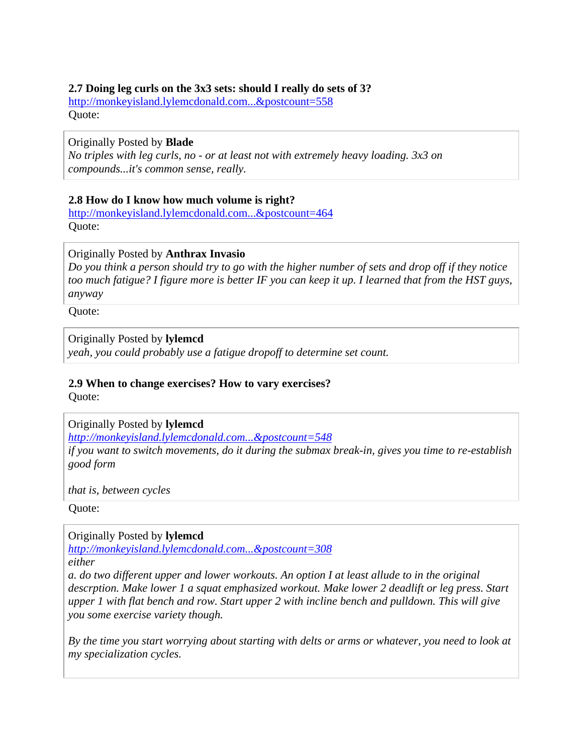#### <span id="page-8-0"></span>**2.7 Doing leg curls on the 3x3 sets: should I really do sets of 3?**

[http://monkeyisland.lylemcdonald.com...&postcount=558](http://monkeyisland.lylemcdonald.com/showpost.php?p=354317&postcount=558) Quote:

#### Originally Posted by **Blade**

*No triples with leg curls, no - or at least not with extremely heavy loading. 3x3 on compounds...it's common sense, really.* 

#### **2.8 How do I know how much volume is right?**

[http://monkeyisland.lylemcdonald.com...&postcount=464](http://monkeyisland.lylemcdonald.com/showpost.php?p=290660&postcount=464) Quote:

#### Originally Posted by **Anthrax Invasio**

*Do you think a person should try to go with the higher number of sets and drop off if they notice too much fatigue? I figure more is better IF you can keep it up. I learned that from the HST guys, anyway* 

Quote:

#### Originally Posted by **lylemcd**

*yeah, you could probably use a fatigue dropoff to determine set count.* 

## **2.9 When to change exercises? How to vary exercises?**

Quote:

#### Originally Posted by **lylemcd**

*[http://monkeyisland.lylemcdonald.com...&postcount=548](http://monkeyisland.lylemcdonald.com/showpost.php?p=342378&postcount=548)*

*if you want to switch movements, do it during the submax break-in, gives you time to re-establish good form* 

*that is, between cycles* 

Quote:

Originally Posted by **lylemcd**

*[http://monkeyisland.lylemcdonald.com...&postcount=308](http://monkeyisland.lylemcdonald.com/showpost.php?p=256122&postcount=308)*

*either* 

*a. do two different upper and lower workouts. An option I at least allude to in the original descrption. Make lower 1 a squat emphasized workout. Make lower 2 deadlift or leg press. Start upper 1 with flat bench and row. Start upper 2 with incline bench and pulldown. This will give you some exercise variety though.* 

*By the time you start worrying about starting with delts or arms or whatever, you need to look at my specialization cycles.*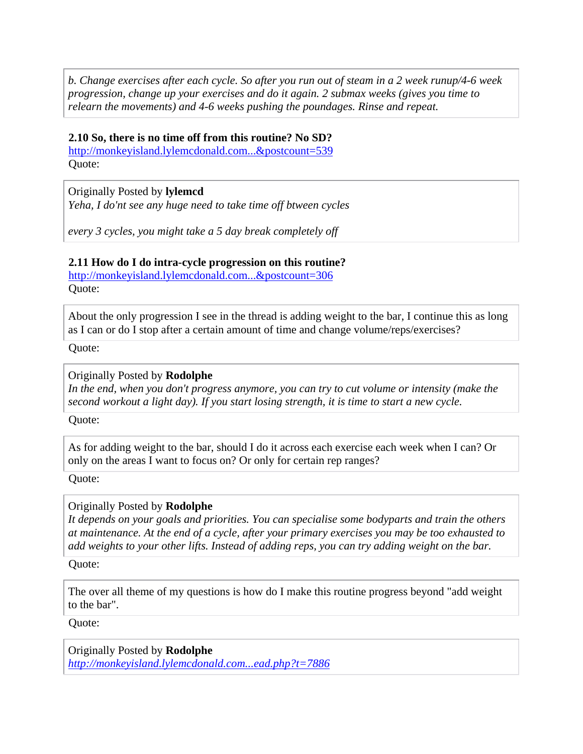<span id="page-9-0"></span>*b. Change exercises after each cycle. So after you run out of steam in a 2 week runup/4-6 week progression, change up your exercises and do it again. 2 submax weeks (gives you time to relearn the movements) and 4-6 weeks pushing the poundages. Rinse and repeat.* 

#### **2.10 So, there is no time off from this routine? No SD?**

[http://monkeyisland.lylemcdonald.com...&postcount=539](http://monkeyisland.lylemcdonald.com/showpost.php?p=340678&postcount=539) Quote:

Originally Posted by **lylemcd** *Yeha, I do'nt see any huge need to take time off btween cycles* 

*every 3 cycles, you might take a 5 day break completely off* 

#### **2.11 How do I do intra-cycle progression on this routine?**

[http://monkeyisland.lylemcdonald.com...&postcount=306](http://monkeyisland.lylemcdonald.com/showpost.php?p=256080&postcount=306) Quote:

About the only progression I see in the thread is adding weight to the bar, I continue this as long as I can or do I stop after a certain amount of time and change volume/reps/exercises?

Quote:

#### Originally Posted by **Rodolphe**

*In the end, when you don't progress anymore, you can try to cut volume or intensity (make the second workout a light day). If you start losing strength, it is time to start a new cycle.* 

Quote:

As for adding weight to the bar, should I do it across each exercise each week when I can? Or only on the areas I want to focus on? Or only for certain rep ranges?

Quote:

#### Originally Posted by **Rodolphe**

*It depends on your goals and priorities. You can specialise some bodyparts and train the others at maintenance. At the end of a cycle, after your primary exercises you may be too exhausted to add weights to your other lifts. Instead of adding reps, you can try adding weight on the bar.* 

Quote:

The over all theme of my questions is how do I make this routine progress beyond "add weight to the bar".

Quote:

Originally Posted by **Rodolphe** *[http://monkeyisland.lylemcdonald.com...ead.php?t=7886](http://monkeyisland.lylemcdonald.com/showthread.php?t=7886)*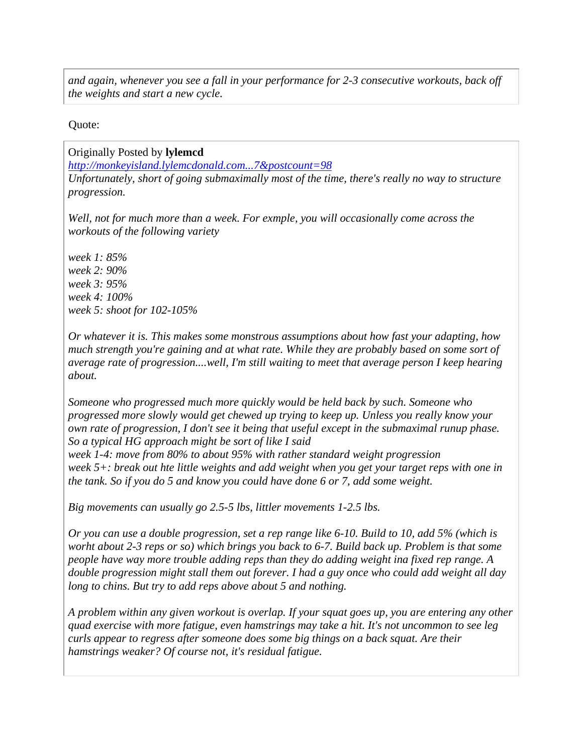*and again, whenever you see a fall in your performance for 2-3 consecutive workouts, back off the weights and start a new cycle.* 

#### Quote:

Originally Posted by **lylemcd**

*[http://monkeyisland.lylemcdonald.com...7&postcount=98](http://monkeyisland.lylemcdonald.com/showpost.php?p=172577&postcount=98)*

*Unfortunately, short of going submaximally most of the time, there's really no way to structure progression.* 

*Well, not for much more than a week. For exmple, you will occasionally come across the workouts of the following variety* 

*week 1: 85% week 2: 90% week 3: 95% week 4: 100% week 5: shoot for 102-105%* 

*Or whatever it is. This makes some monstrous assumptions about how fast your adapting, how much strength you're gaining and at what rate. While they are probably based on some sort of average rate of progression....well, I'm still waiting to meet that average person I keep hearing about.* 

*Someone who progressed much more quickly would be held back by such. Someone who progressed more slowly would get chewed up trying to keep up. Unless you really know your own rate of progression, I don't see it being that useful except in the submaximal runup phase. So a typical HG approach might be sort of like I said* 

*week 1-4: move from 80% to about 95% with rather standard weight progression week 5+: break out hte little weights and add weight when you get your target reps with one in the tank. So if you do 5 and know you could have done 6 or 7, add some weight.* 

*Big movements can usually go 2.5-5 lbs, littler movements 1-2.5 lbs.* 

*Or you can use a double progression, set a rep range like 6-10. Build to 10, add 5% (which is worht about 2-3 reps or so) which brings you back to 6-7. Build back up. Problem is that some people have way more trouble adding reps than they do adding weight ina fixed rep range. A double progression might stall them out forever. I had a guy once who could add weight all day long to chins. But try to add reps above about 5 and nothing.* 

*A problem within any given workout is overlap. If your squat goes up, you are entering any other quad exercise with more fatigue, even hamstrings may take a hit. It's not uncommon to see leg curls appear to regress after someone does some big things on a back squat. Are their hamstrings weaker? Of course not, it's residual fatigue.*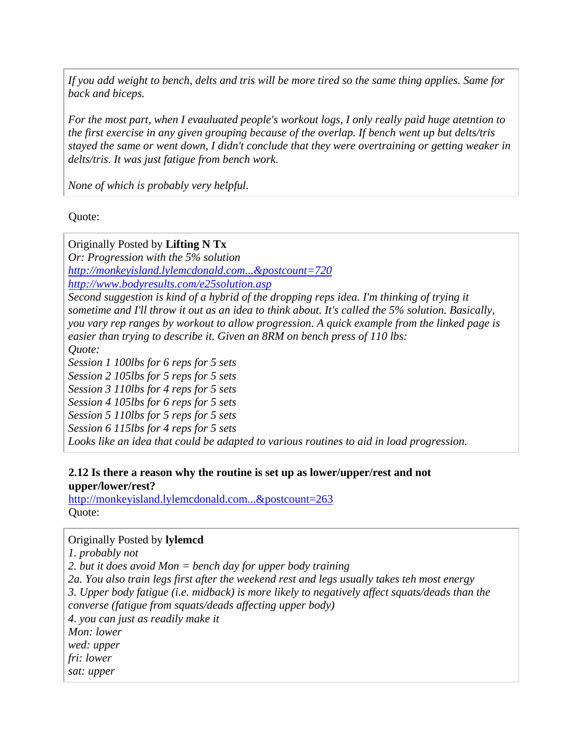<span id="page-11-0"></span>*If you add weight to bench, delts and tris will be more tired so the same thing applies. Same for back and biceps.* 

*For the most part, when I evauluated people's workout logs, I only really paid huge atetntion to the first exercise in any given grouping because of the overlap. If bench went up but delts/tris stayed the same or went down, I didn't conclude that they were overtraining or getting weaker in delts/tris. It was just fatigue from bench work.* 

*None of which is probably very helpful.* 

Quote:

Originally Posted by **Lifting N Tx** *Or: Progression with the 5% solution [http://monkeyisland.lylemcdonald.com...&postcount=720](http://monkeyisland.lylemcdonald.com/showpost.php?p=457339&postcount=720) <http://www.bodyresults.com/e25solution.asp> Second suggestion is kind of a hybrid of the dropping reps idea. I'm thinking of trying it sometime and I'll throw it out as an idea to think about. It's called the 5% solution. Basically, you vary rep ranges by workout to allow progression. A quick example from the linked page is easier than trying to describe it. Given an 8RM on bench press of 110 lbs: Quote:* 

*Session 1 100lbs for 6 reps for 5 sets Session 2 105lbs for 5 reps for 5 sets Session 3 110lbs for 4 reps for 5 sets Session 4 105lbs for 6 reps for 5 sets Session 5 110lbs for 5 reps for 5 sets Session 6 115lbs for 4 reps for 5 sets* 

Looks like an idea that could be adapted to various routines to aid in load progression.

#### **2.12 Is there a reason why the routine is set up as lower/upper/rest and not upper/lower/rest?**

[http://monkeyisland.lylemcdonald.com...&postcount=263](http://monkeyisland.lylemcdonald.com/showpost.php?p=240618&postcount=263) Quote:

#### Originally Posted by **lylemcd**

*1. probably not 2. but it does avoid Mon = bench day for upper body training 2a. You also train legs first after the weekend rest and legs usually takes teh most energy 3. Upper body fatigue (i.e. midback) is more likely to negatively affect squats/deads than the converse (fatigue from squats/deads affecting upper body) 4. you can just as readily make it Mon: lower wed: upper fri: lower sat: upper*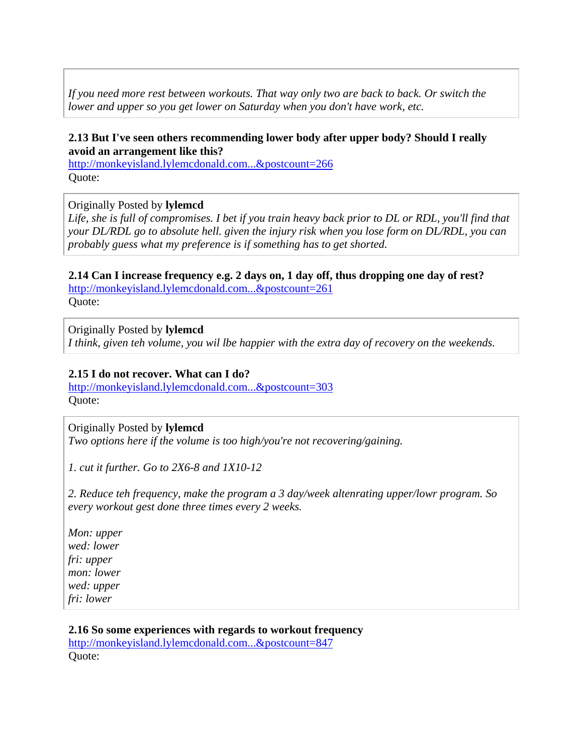*If you need more rest between workouts. That way only two are back to back. Or switch the lower and upper so you get lower on Saturday when you don't have work, etc.* 

#### **2.13 But I've seen others recommending lower body after upper body? Should I really avoid an arrangement like this?**

[http://monkeyisland.lylemcdonald.com...&postcount=266](http://monkeyisland.lylemcdonald.com/showpost.php?p=240629&postcount=266) Quote:

#### Originally Posted by **lylemcd**

Life, she is full of compromises. I bet if you train heavy back prior to DL or RDL, you'll find that *your DL/RDL go to absolute hell. given the injury risk when you lose form on DL/RDL, you can probably guess what my preference is if something has to get shorted.* 

**2.14 Can I increase frequency e.g. 2 days on, 1 day off, thus dropping one day of rest?** [http://monkeyisland.lylemcdonald.com...&postcount=261](http://monkeyisland.lylemcdonald.com/showpost.php?p=240589&postcount=261) Quote:

Originally Posted by **lylemcd** *I think, given teh volume, you wil lbe happier with the extra day of recovery on the weekends.* 

#### **2.15 I do not recover. What can I do?**

[http://monkeyisland.lylemcdonald.com...&postcount=303](http://monkeyisland.lylemcdonald.com/showpost.php?p=254958&postcount=303) Quote:

Originally Posted by **lylemcd**

*Two options here if the volume is too high/you're not recovering/gaining.* 

*1. cut it further. Go to 2X6-8 and 1X10-12* 

*2. Reduce teh frequency, make the program a 3 day/week altenrating upper/lowr program. So every workout gest done three times every 2 weeks.* 

*Mon: upper wed: lower fri: upper mon: lower wed: upper fri: lower* 

**2.16 So some experiences with regards to workout frequency** [http://monkeyisland.lylemcdonald.com...&postcount=847](http://monkeyisland.lylemcdonald.com/showpost.php?p=721511&postcount=847)

Quote: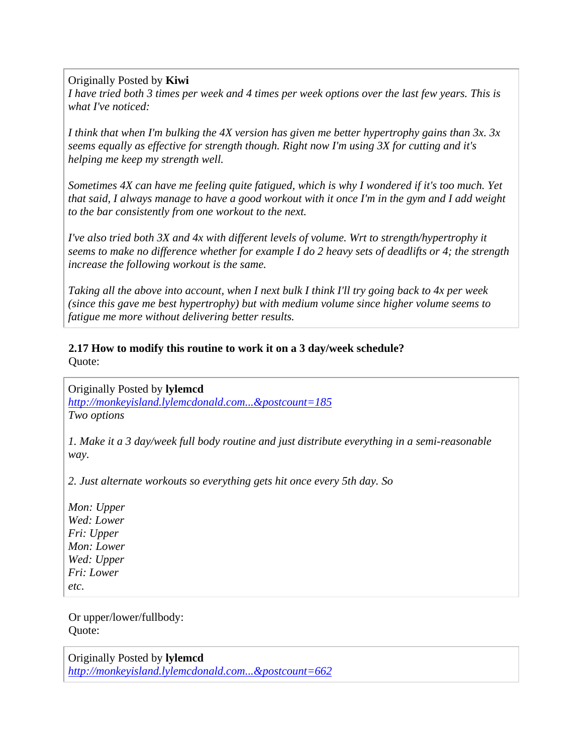Originally Posted by **Kiwi**

*I have tried both 3 times per week and 4 times per week options over the last few years. This is what I've noticed:* 

*I think that when I'm bulking the 4X version has given me better hypertrophy gains than 3x. 3x seems equally as effective for strength though. Right now I'm using 3X for cutting and it's helping me keep my strength well.* 

*Sometimes 4X can have me feeling quite fatigued, which is why I wondered if it's too much. Yet that said, I always manage to have a good workout with it once I'm in the gym and I add weight to the bar consistently from one workout to the next.* 

*I've also tried both 3X and 4x with different levels of volume. Wrt to strength/hypertrophy it seems to make no difference whether for example I do 2 heavy sets of deadlifts or 4; the strength increase the following workout is the same.* 

*Taking all the above into account, when I next bulk I think I'll try going back to 4x per week (since this gave me best hypertrophy) but with medium volume since higher volume seems to fatigue me more without delivering better results.* 

**2.17 How to modify this routine to work it on a 3 day/week schedule?** Quote:

Originally Posted by **lylemcd**

*[http://monkeyisland.lylemcdonald.com...&postcount=185](http://monkeyisland.lylemcdonald.com/showpost.php?p=209330&postcount=185) Two options* 

*1. Make it a 3 day/week full body routine and just distribute everything in a semi-reasonable way.* 

*2. Just alternate workouts so everything gets hit once every 5th day. So* 

*Mon: Upper Wed: Lower Fri: Upper Mon: Lower Wed: Upper Fri: Lower etc.* 

Or upper/lower/fullbody: Quote:

Originally Posted by **lylemcd** *[http://monkeyisland.lylemcdonald.com...&postcount=662](http://monkeyisland.lylemcdonald.com/showpost.php?p=408948&postcount=662)*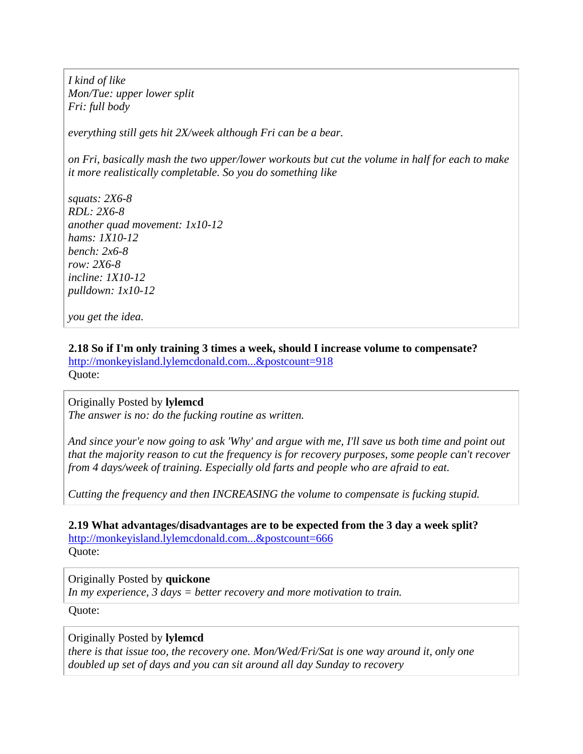<span id="page-14-0"></span>*I kind of like Mon/Tue: upper lower split Fri: full body* 

*everything still gets hit 2X/week although Fri can be a bear.* 

*on Fri, basically mash the two upper/lower workouts but cut the volume in half for each to make it more realistically completable. So you do something like* 

*squats: 2X6-8 RDL: 2X6-8 another quad movement: 1x10-12 hams: 1X10-12 bench: 2x6-8 row: 2X6-8 incline: 1X10-12 pulldown: 1x10-12* 

*you get the idea.* 

#### **2.18 So if I'm only training 3 times a week, should I increase volume to compensate?**

[http://monkeyisland.lylemcdonald.com...&postcount=918](http://monkeyisland.lylemcdonald.com/showpost.php?p=797801&postcount=918) Quote:

Originally Posted by **lylemcd** *The answer is no: do the fucking routine as written.* 

*And since your'e now going to ask 'Why' and argue with me, I'll save us both time and point out that the majority reason to cut the frequency is for recovery purposes, some people can't recover from 4 days/week of training. Especially old farts and people who are afraid to eat.* 

*Cutting the frequency and then INCREASING the volume to compensate is fucking stupid.* 

**2.19 What advantages/disadvantages are to be expected from the 3 day a week split?** [http://monkeyisland.lylemcdonald.com...&postcount=666](http://monkeyisland.lylemcdonald.com/showpost.php?p=408964&postcount=666) Quote:

#### Originally Posted by **quickone**

*In my experience, 3 days = better recovery and more motivation to train.* 

Quote:

#### Originally Posted by **lylemcd**

*there is that issue too, the recovery one. Mon/Wed/Fri/Sat is one way around it, only one doubled up set of days and you can sit around all day Sunday to recovery*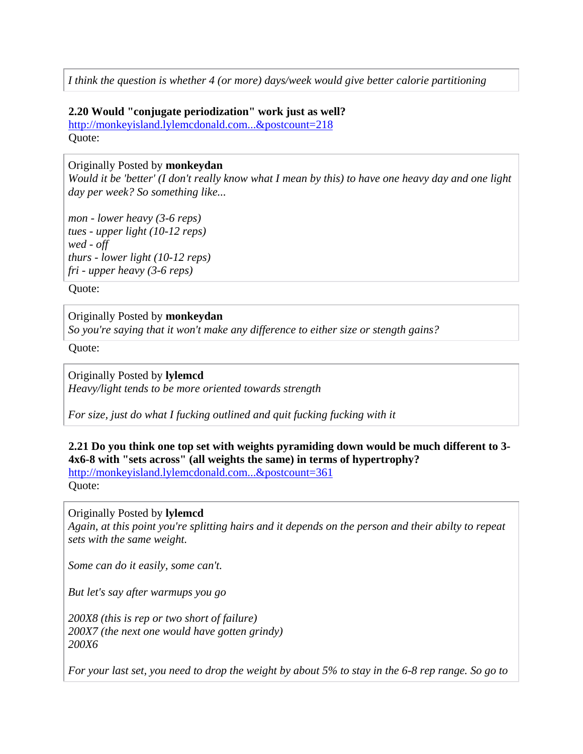<span id="page-15-0"></span>*I think the question is whether 4 (or more) days/week would give better calorie partitioning* 

#### **2.20 Would "conjugate periodization" work just as well?**

[http://monkeyisland.lylemcdonald.com...&postcount=218](http://monkeyisland.lylemcdonald.com/showpost.php?p=218036&postcount=218) Quote:

Originally Posted by **monkeydan**

*Would it be 'better' (I don't really know what I mean by this) to have one heavy day and one light day per week? So something like...* 

*mon - lower heavy (3-6 reps) tues - upper light (10-12 reps) wed - off thurs - lower light (10-12 reps) fri - upper heavy (3-6 reps)* 

Quote:

#### Originally Posted by **monkeydan**

*So you're saying that it won't make any difference to either size or stength gains?* 

Quote:

Originally Posted by **lylemcd**

*Heavy/light tends to be more oriented towards strength* 

*For size, just do what I fucking outlined and quit fucking fucking with it* 

## **2.21 Do you think one top set with weights pyramiding down would be much different to 3- 4x6-8 with "sets across" (all weights the same) in terms of hypertrophy?**

[http://monkeyisland.lylemcdonald.com...&postcount=361](http://monkeyisland.lylemcdonald.com/showpost.php?p=265479&postcount=361) Quote:

#### Originally Posted by **lylemcd**

*Again, at this point you're splitting hairs and it depends on the person and their abilty to repeat sets with the same weight.* 

*Some can do it easily, some can't.* 

*But let's say after warmups you go* 

*200X8 (this is rep or two short of failure) 200X7 (the next one would have gotten grindy) 200X6* 

*For your last set, you need to drop the weight by about 5% to stay in the 6-8 rep range. So go to*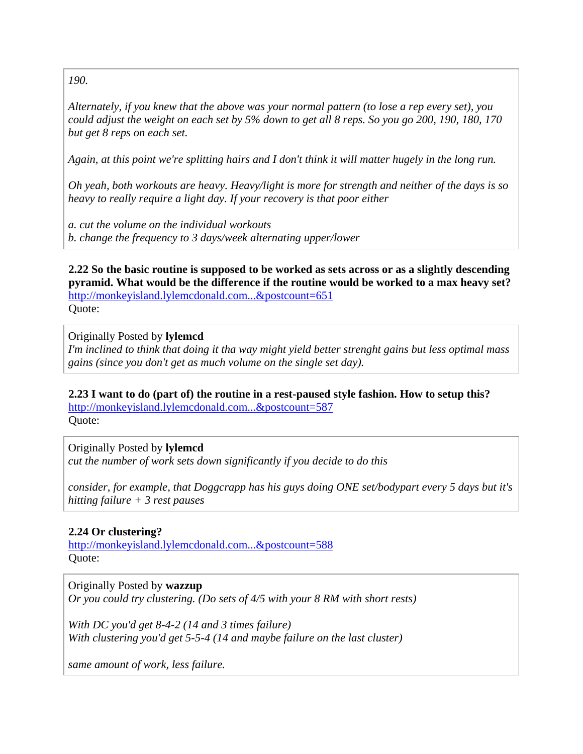<span id="page-16-0"></span>*190.* 

*Alternately, if you knew that the above was your normal pattern (to lose a rep every set), you could adjust the weight on each set by 5% down to get all 8 reps. So you go 200, 190, 180, 170 but get 8 reps on each set.* 

*Again, at this point we're splitting hairs and I don't think it will matter hugely in the long run.* 

*Oh yeah, both workouts are heavy. Heavy/light is more for strength and neither of the days is so heavy to really require a light day. If your recovery is that poor either* 

*a. cut the volume on the individual workouts b. change the frequency to 3 days/week alternating upper/lower* 

**2.22 So the basic routine is supposed to be worked as sets across or as a slightly descending pyramid. What would be the difference if the routine would be worked to a max heavy set?** [http://monkeyisland.lylemcdonald.com...&postcount=651](http://monkeyisland.lylemcdonald.com/showpost.php?p=407792&postcount=651)

Quote:

#### Originally Posted by **lylemcd**

*I'm inclined to think that doing it tha way might yield better strenght gains but less optimal mass gains (since you don't get as much volume on the single set day).* 

**2.23 I want to do (part of) the routine in a rest-paused style fashion. How to setup this?**

[http://monkeyisland.lylemcdonald.com...&postcount=587](http://monkeyisland.lylemcdonald.com/showpost.php?p=376815&postcount=587) Quote:

Originally Posted by **lylemcd**

*cut the number of work sets down significantly if you decide to do this* 

*consider, for example, that Doggcrapp has his guys doing ONE set/bodypart every 5 days but it's hitting failure + 3 rest pauses* 

## **2.24 Or clustering?**

[http://monkeyisland.lylemcdonald.com...&postcount=588](http://monkeyisland.lylemcdonald.com/showpost.php?p=377179&postcount=588) Quote:

Originally Posted by **wazzup**

*Or you could try clustering. (Do sets of 4/5 with your 8 RM with short rests)* 

*With DC you'd get 8-4-2 (14 and 3 times failure) With clustering you'd get 5-5-4 (14 and maybe failure on the last cluster)* 

*same amount of work, less failure.*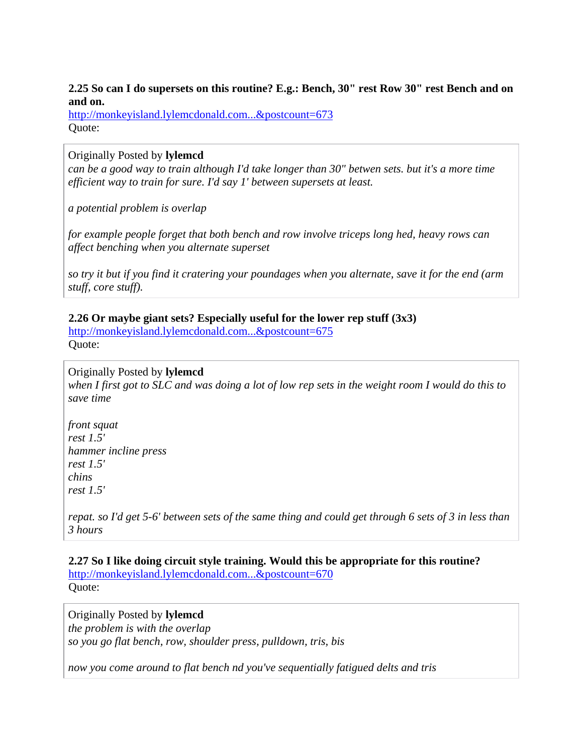#### <span id="page-17-0"></span>**2.25 So can I do supersets on this routine? E.g.: Bench, 30" rest Row 30" rest Bench and on and on.**

[http://monkeyisland.lylemcdonald.com...&postcount=673](http://monkeyisland.lylemcdonald.com/showpost.php?p=412814&postcount=673) Quote:

#### Originally Posted by **lylemcd**

*can be a good way to train although I'd take longer than 30" betwen sets. but it's a more time efficient way to train for sure. I'd say 1' between supersets at least.* 

*a potential problem is overlap* 

*for example people forget that both bench and row involve triceps long hed, heavy rows can affect benching when you alternate superset* 

*so try it but if you find it cratering your poundages when you alternate, save it for the end (arm stuff, core stuff).* 

## **2.26 Or maybe giant sets? Especially useful for the lower rep stuff (3x3)**

[http://monkeyisland.lylemcdonald.com...&postcount=675](http://monkeyisland.lylemcdonald.com/showpost.php?p=412959&postcount=675) Quote:

## Originally Posted by **lylemcd**

*when I first got to SLC and was doing a lot of low rep sets in the weight room I would do this to save time* 

*front squat rest 1.5' hammer incline press rest 1.5' chins rest 1.5'* 

*repat. so I'd get 5-6' between sets of the same thing and could get through 6 sets of 3 in less than 3 hours* 

**2.27 So I like doing circuit style training. Would this be appropriate for this routine?** [http://monkeyisland.lylemcdonald.com...&postcount=670](http://monkeyisland.lylemcdonald.com/showpost.php?p=412144&postcount=670) Quote:

Originally Posted by **lylemcd** *the problem is with the overlap so you go flat bench, row, shoulder press, pulldown, tris, bis* 

*now you come around to flat bench nd you've sequentially fatigued delts and tris*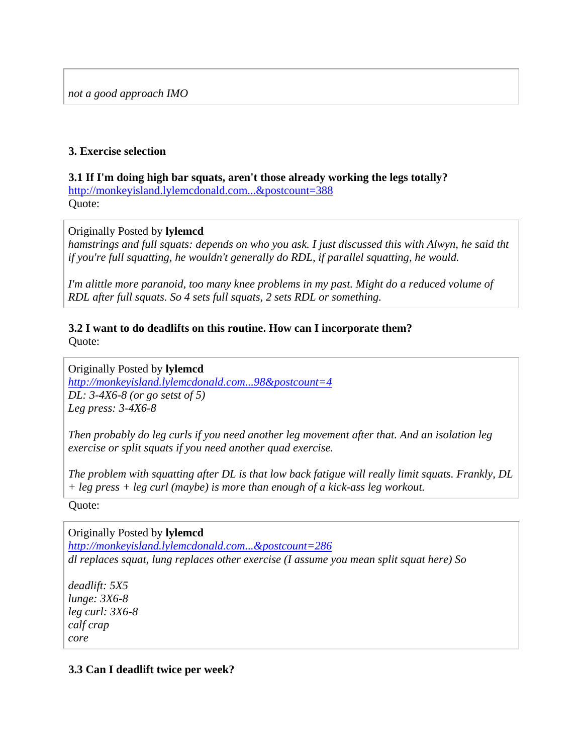### <span id="page-18-0"></span>**3. Exercise selection**

## **3.1 If I'm doing high bar squats, aren't those already working the legs totally?**

[http://monkeyisland.lylemcdonald.com...&postcount=388](http://monkeyisland.lylemcdonald.com/showpost.php?p=279941&postcount=388) Quote:

#### Originally Posted by **lylemcd**

*hamstrings and full squats: depends on who you ask. I just discussed this with Alwyn, he said tht if you're full squatting, he wouldn't generally do RDL, if parallel squatting, he would.* 

*I'm alittle more paranoid, too many knee problems in my past. Might do a reduced volume of RDL after full squats. So 4 sets full squats, 2 sets RDL or something.* 

#### **3.2 I want to do deadlifts on this routine. How can I incorporate them?** Quote:

Originally Posted by **lylemcd**

*[http://monkeyisland.lylemcdonald.com...98&postcount=4](http://monkeyisland.lylemcdonald.com/showpost.php?p=113498&postcount=4) DL: 3-4X6-8 (or go setst of 5) Leg press: 3-4X6-8* 

*Then probably do leg curls if you need another leg movement after that. And an isolation leg exercise or split squats if you need another quad exercise.* 

*The problem with squatting after DL is that low back fatigue will really limit squats. Frankly, DL + leg press + leg curl (maybe) is more than enough of a kick-ass leg workout.* 

Quote:

Originally Posted by **lylemcd** *[http://monkeyisland.lylemcdonald.com...&postcount=286](http://monkeyisland.lylemcdonald.com/showpost.php?p=253092&postcount=286) dl replaces squat, lung replaces other exercise (I assume you mean split squat here) So* 

*deadlift: 5X5 lunge: 3X6-8 leg curl: 3X6-8 calf crap core* 

#### **3.3 Can I deadlift twice per week?**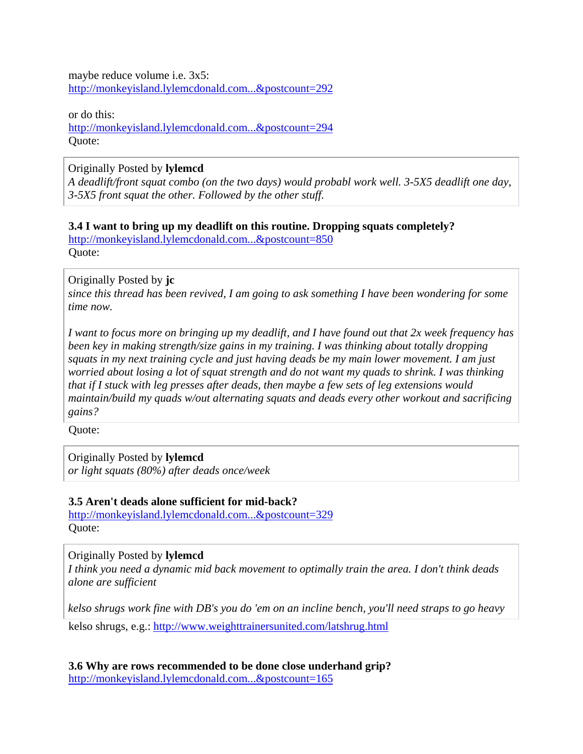<span id="page-19-0"></span>maybe reduce volume i.e. 3x5: [http://monkeyisland.lylemcdonald.com...&postcount=292](http://monkeyisland.lylemcdonald.com/showpost.php?p=253127&postcount=292)

or do this: [http://monkeyisland.lylemcdonald.com...&postcount=294](http://monkeyisland.lylemcdonald.com/showpost.php?p=253143&postcount=294) Quote:

Originally Posted by **lylemcd**

*A deadlift/front squat combo (on the two days) would probabl work well. 3-5X5 deadlift one day, 3-5X5 front squat the other. Followed by the other stuff.* 

#### **3.4 I want to bring up my deadlift on this routine. Dropping squats completely?**

[http://monkeyisland.lylemcdonald.com...&postcount=850](http://monkeyisland.lylemcdonald.com/showpost.php?p=722173&postcount=850) Quote:

Originally Posted by **jc**

*since this thread has been revived, I am going to ask something I have been wondering for some time now.* 

*I want to focus more on bringing up my deadlift, and I have found out that 2x week frequency has been key in making strength/size gains in my training. I was thinking about totally dropping squats in my next training cycle and just having deads be my main lower movement. I am just worried about losing a lot of squat strength and do not want my quads to shrink. I was thinking that if I stuck with leg presses after deads, then maybe a few sets of leg extensions would maintain/build my quads w/out alternating squats and deads every other workout and sacrificing gains?* 

Quote:

Originally Posted by **lylemcd** *or light squats (80%) after deads once/week* 

**3.5 Aren't deads alone sufficient for mid-back?**

[http://monkeyisland.lylemcdonald.com...&postcount=329](http://monkeyisland.lylemcdonald.com/showpost.php?p=262480&postcount=329) Quote:

Originally Posted by **lylemcd**

*I think you need a dynamic mid back movement to optimally train the area. I don't think deads alone are sufficient* 

*kelso shrugs work fine with DB's you do 'em on an incline bench, you'll need straps to go heavy* 

kelso shrugs, e.g.:<http://www.weighttrainersunited.com/latshrug.html>

**3.6 Why are rows recommended to be done close underhand grip?** [http://monkeyisland.lylemcdonald.com...&postcount=165](http://monkeyisland.lylemcdonald.com/showpost.php?p=208570&postcount=165)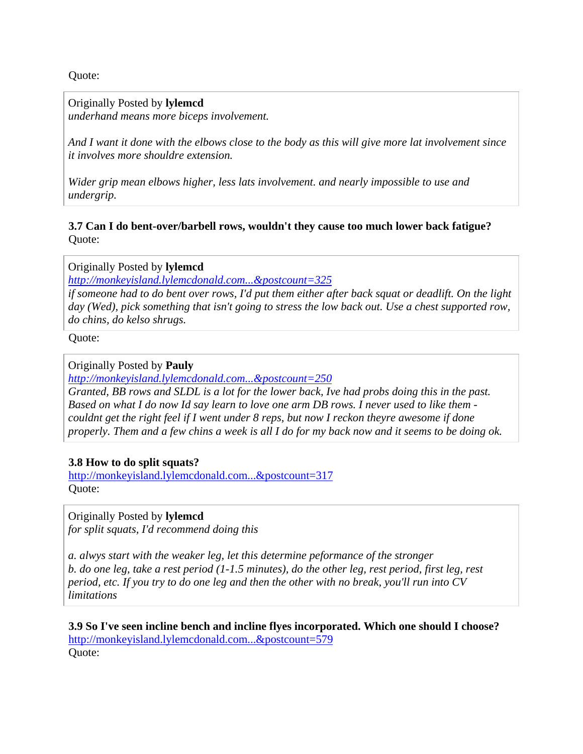<span id="page-20-0"></span>Quote:

Originally Posted by **lylemcd**

*underhand means more biceps involvement.* 

*And I want it done with the elbows close to the body as this will give more lat involvement since it involves more shouldre extension.* 

*Wider grip mean elbows higher, less lats involvement. and nearly impossible to use and undergrip.* 

**3.7 Can I do bent-over/barbell rows, wouldn't they cause too much lower back fatigue?** Quote:

Originally Posted by **lylemcd**

*[http://monkeyisland.lylemcdonald.com...&postcount=325](http://monkeyisland.lylemcdonald.com/showpost.php?p=262458&postcount=325)*

*if someone had to do bent over rows, I'd put them either after back squat or deadlift. On the light day (Wed), pick something that isn't going to stress the low back out. Use a chest supported row, do chins, do kelso shrugs.* 

Quote:

Originally Posted by **Pauly**

*[http://monkeyisland.lylemcdonald.com...&postcount=250](http://monkeyisland.lylemcdonald.com/showpost.php?p=238699&postcount=250)*

*Granted, BB rows and SLDL is a lot for the lower back, Ive had probs doing this in the past. Based on what I do now Id say learn to love one arm DB rows. I never used to like them couldnt get the right feel if I went under 8 reps, but now I reckon theyre awesome if done properly. Them and a few chins a week is all I do for my back now and it seems to be doing ok.* 

#### **3.8 How to do split squats?**

[http://monkeyisland.lylemcdonald.com...&postcount=317](http://monkeyisland.lylemcdonald.com/showpost.php?p=262414&postcount=317) Quote:

Originally Posted by **lylemcd** *for split squats, I'd recommend doing this* 

*a. alwys start with the weaker leg, let this determine peformance of the stronger b. do one leg, take a rest period (1-1.5 minutes), do the other leg, rest period, first leg, rest period, etc. If you try to do one leg and then the other with no break, you'll run into CV limitations* 

**3.9 So I've seen incline bench and incline flyes incorporated. Which one should I choose?** [http://monkeyisland.lylemcdonald.com...&postcount=579](http://monkeyisland.lylemcdonald.com/showpost.php?p=366419&postcount=579) Quote: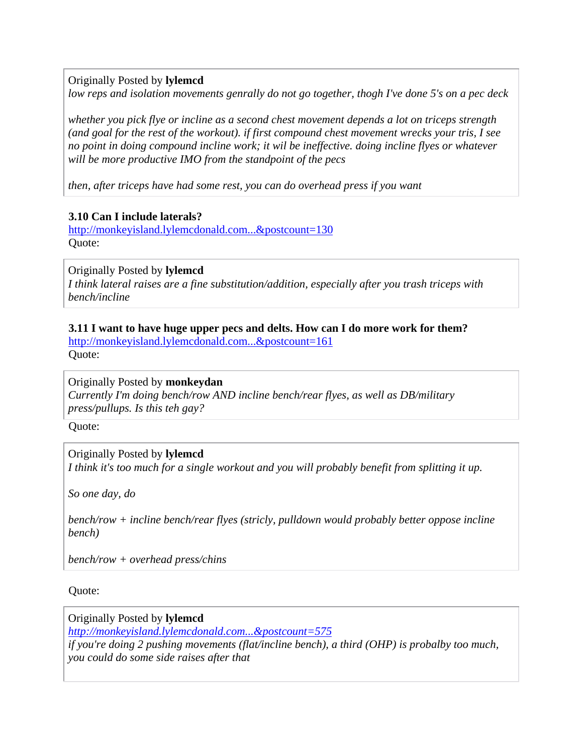<span id="page-21-0"></span>Originally Posted by **lylemcd**

*low reps and isolation movements genrally do not go together, thogh I've done 5's on a pec deck* 

*whether you pick flye or incline as a second chest movement depends a lot on triceps strength (and goal for the rest of the workout). if first compound chest movement wrecks your tris, I see no point in doing compound incline work; it wil be ineffective. doing incline flyes or whatever will be more productive IMO from the standpoint of the pecs* 

*then, after triceps have had some rest, you can do overhead press if you want* 

#### **3.10 Can I include laterals?**

[http://monkeyisland.lylemcdonald.com...&postcount=130](http://monkeyisland.lylemcdonald.com/showpost.php?p=188691&postcount=130) Quote:

#### Originally Posted by **lylemcd**

*I think lateral raises are a fine substitution/addition, especially after you trash triceps with bench/incline* 

#### **3.11 I want to have huge upper pecs and delts. How can I do more work for them?** [http://monkeyisland.lylemcdonald.com...&postcount=161](http://monkeyisland.lylemcdonald.com/showpost.php?p=208526&postcount=161)

Quote:

#### Originally Posted by **monkeydan**

*Currently I'm doing bench/row AND incline bench/rear flyes, as well as DB/military press/pullups. Is this teh gay?* 

Quote:

#### Originally Posted by **lylemcd**

*I think it's too much for a single workout and you will probably benefit from splitting it up.* 

*So one day, do* 

*bench/row + incline bench/rear flyes (stricly, pulldown would probably better oppose incline bench)* 

*bench/row + overhead press/chins* 

#### Quote:

Originally Posted by **lylemcd** *[http://monkeyisland.lylemcdonald.com...&postcount=575](http://monkeyisland.lylemcdonald.com/showpost.php?p=365806&postcount=575) if you're doing 2 pushing movements (flat/incline bench), a third (OHP) is probalby too much, you could do some side raises after that*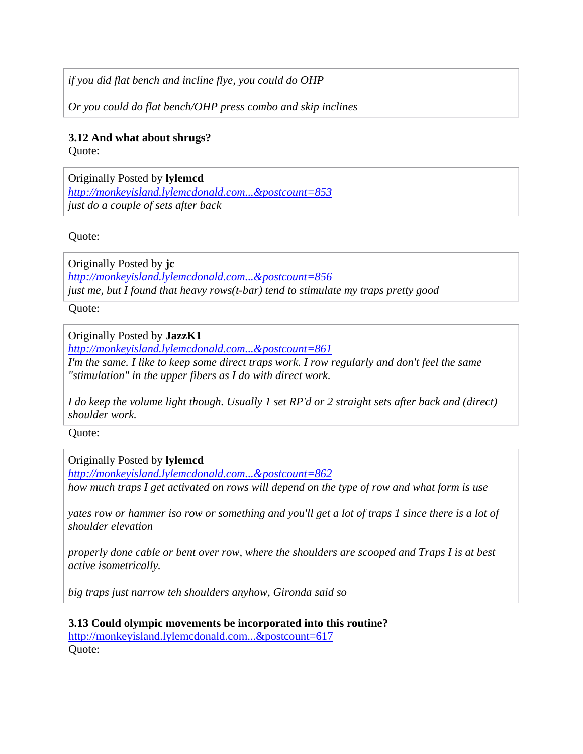<span id="page-22-0"></span>*if you did flat bench and incline flye, you could do OHP* 

*Or you could do flat bench/OHP press combo and skip inclines* 

### **3.12 And what about shrugs?**

Quote:

Originally Posted by **lylemcd** *[http://monkeyisland.lylemcdonald.com...&postcount=853](http://monkeyisland.lylemcdonald.com/showpost.php?p=733872&postcount=853) just do a couple of sets after back* 

Quote:

Originally Posted by **jc** *[http://monkeyisland.lylemcdonald.com...&postcount=856](http://monkeyisland.lylemcdonald.com/showpost.php?p=733883&postcount=856) just me, but I found that heavy rows(t-bar) tend to stimulate my traps pretty good* 

Quote:

## Originally Posted by **JazzK1**

*[http://monkeyisland.lylemcdonald.com...&postcount=861](http://monkeyisland.lylemcdonald.com/showpost.php?p=733960&postcount=861)*

*I'm the same. I like to keep some direct traps work. I row regularly and don't feel the same "stimulation" in the upper fibers as I do with direct work.* 

*I do keep the volume light though. Usually 1 set RP'd or 2 straight sets after back and (direct) shoulder work.* 

Quote:

Originally Posted by **lylemcd**

*[http://monkeyisland.lylemcdonald.com...&postcount=862](http://monkeyisland.lylemcdonald.com/showpost.php?p=733964&postcount=862) how much traps I get activated on rows will depend on the type of row and what form is use* 

*yates row or hammer iso row or something and you'll get a lot of traps 1 since there is a lot of shoulder elevation* 

*properly done cable or bent over row, where the shoulders are scooped and Traps I is at best active isometrically.* 

*big traps just narrow teh shoulders anyhow, Gironda said so* 

**3.13 Could olympic movements be incorporated into this routine?** [http://monkeyisland.lylemcdonald.com...&postcount=617](http://monkeyisland.lylemcdonald.com/showpost.php?p=396096&postcount=617) Quote: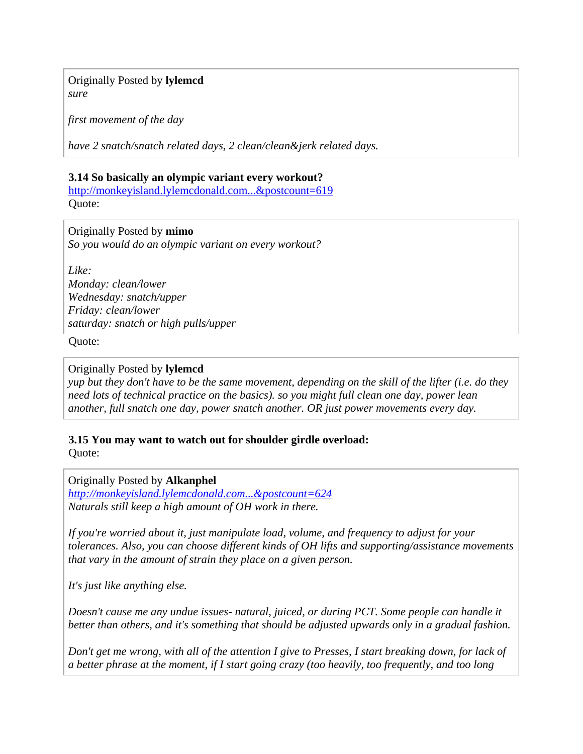<span id="page-23-0"></span>Originally Posted by **lylemcd** *sure* 

*first movement of the day* 

*have 2 snatch/snatch related days, 2 clean/clean&jerk related days.* 

#### **3.14 So basically an olympic variant every workout?**

[http://monkeyisland.lylemcdonald.com...&postcount=619](http://monkeyisland.lylemcdonald.com/showpost.php?p=398591&postcount=619) Quote:

Originally Posted by **mimo**

*So you would do an olympic variant on every workout?* 

*Like: Monday: clean/lower Wednesday: snatch/upper Friday: clean/lower saturday: snatch or high pulls/upper* 

Quote:

#### Originally Posted by **lylemcd**

*yup but they don't have to be the same movement, depending on the skill of the lifter (i.e. do they need lots of technical practice on the basics). so you might full clean one day, power lean another, full snatch one day, power snatch another. OR just power movements every day.* 

**3.15 You may want to watch out for shoulder girdle overload:** Quote:

Originally Posted by **Alkanphel**

*[http://monkeyisland.lylemcdonald.com...&postcount=624](http://monkeyisland.lylemcdonald.com/showpost.php?p=398872&postcount=624) Naturals still keep a high amount of OH work in there.* 

*If you're worried about it, just manipulate load, volume, and frequency to adjust for your tolerances. Also, you can choose different kinds of OH lifts and supporting/assistance movements that vary in the amount of strain they place on a given person.* 

*It's just like anything else.* 

*Doesn't cause me any undue issues- natural, juiced, or during PCT. Some people can handle it better than others, and it's something that should be adjusted upwards only in a gradual fashion.*

*Don't get me wrong, with all of the attention I give to Presses, I start breaking down, for lack of a better phrase at the moment, if I start going crazy (too heavily, too frequently, and too long*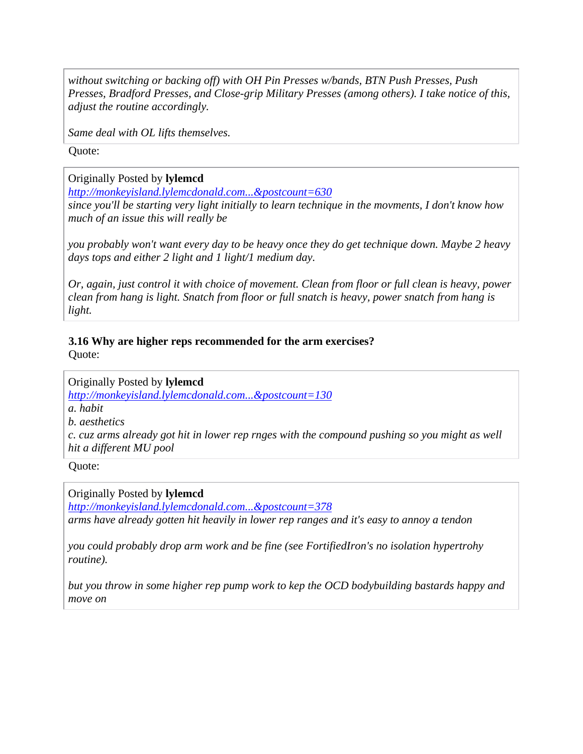<span id="page-24-0"></span>*without switching or backing off) with OH Pin Presses w/bands, BTN Push Presses, Push Presses, Bradford Presses, and Close-grip Military Presses (among others). I take notice of this, adjust the routine accordingly.* 

*Same deal with OL lifts themselves.* 

Quote:

Originally Posted by **lylemcd**

*[http://monkeyisland.lylemcdonald.com...&postcount=630](http://monkeyisland.lylemcdonald.com/showpost.php?p=399058&postcount=630)*

*since you'll be starting very light initially to learn technique in the movments, I don't know how much of an issue this will really be* 

*you probably won't want every day to be heavy once they do get technique down. Maybe 2 heavy days tops and either 2 light and 1 light/1 medium day.* 

*Or, again, just control it with choice of movement. Clean from floor or full clean is heavy, power clean from hang is light. Snatch from floor or full snatch is heavy, power snatch from hang is light.* 

## **3.16 Why are higher reps recommended for the arm exercises?**

Quote:

Originally Posted by **lylemcd** *[http://monkeyisland.lylemcdonald.com...&postcount=130](http://monkeyisland.lylemcdonald.com/showpost.php?p=188691&postcount=130) a. habit b. aesthetics c. cuz arms already got hit in lower rep rnges with the compound pushing so you might as well hit a different MU pool* 

Quote:

Originally Posted by **lylemcd**

*[http://monkeyisland.lylemcdonald.com...&postcount=378](http://monkeyisland.lylemcdonald.com/showpost.php?p=268977&postcount=378)*

*arms have already gotten hit heavily in lower rep ranges and it's easy to annoy a tendon* 

*you could probably drop arm work and be fine (see FortifiedIron's no isolation hypertrohy routine).* 

*but you throw in some higher rep pump work to kep the OCD bodybuilding bastards happy and move on*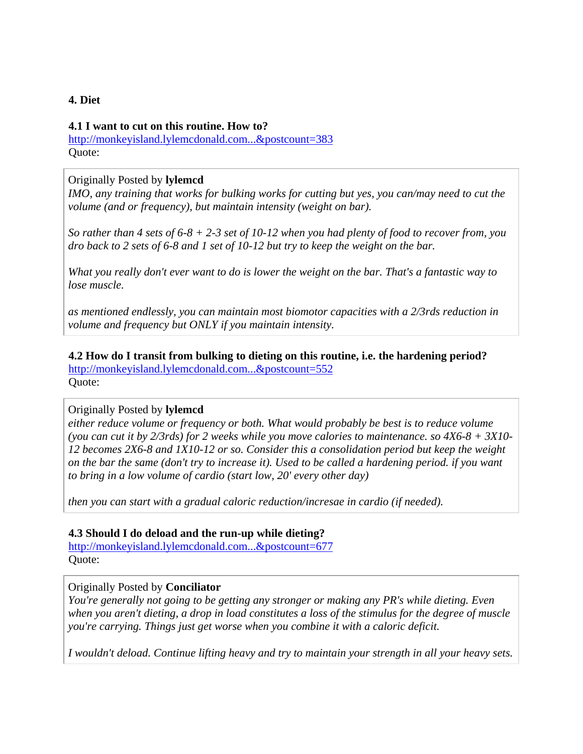#### <span id="page-25-0"></span>**4. Diet**

#### **4.1 I want to cut on this routine. How to?**

[http://monkeyisland.lylemcdonald.com...&postcount=383](http://monkeyisland.lylemcdonald.com/showpost.php?p=269190&postcount=383) Quote:

#### Originally Posted by **lylemcd**

*IMO, any training that works for bulking works for cutting but yes, you can/may need to cut the volume (and or frequency), but maintain intensity (weight on bar).* 

*So rather than 4 sets of 6-8 + 2-3 set of 10-12 when you had plenty of food to recover from, you dro back to 2 sets of 6-8 and 1 set of 10-12 but try to keep the weight on the bar.* 

*What you really don't ever want to do is lower the weight on the bar. That's a fantastic way to lose muscle.* 

*as mentioned endlessly, you can maintain most biomotor capacities with a 2/3rds reduction in volume and frequency but ONLY if you maintain intensity.* 

**4.2 How do I transit from bulking to dieting on this routine, i.e. the hardening period?** [http://monkeyisland.lylemcdonald.com...&postcount=552](http://monkeyisland.lylemcdonald.com/showpost.php?p=351877&postcount=552) Quote:

#### Originally Posted by **lylemcd**

*either reduce volume or frequency or both. What would probably be best is to reduce volume (you can cut it by 2/3rds) for 2 weeks while you move calories to maintenance. so 4X6-8 + 3X10- 12 becomes 2X6-8 and 1X10-12 or so. Consider this a consolidation period but keep the weight on the bar the same (don't try to increase it). Used to be called a hardening period. if you want to bring in a low volume of cardio (start low, 20' every other day)* 

*then you can start with a gradual caloric reduction/incresae in cardio (if needed).* 

#### **4.3 Should I do deload and the run-up while dieting?**

[http://monkeyisland.lylemcdonald.com...&postcount=677](http://monkeyisland.lylemcdonald.com/showpost.php?p=414891&postcount=677) Quote:

#### Originally Posted by **Conciliator**

*You're generally not going to be getting any stronger or making any PR's while dieting. Even when you aren't dieting, a drop in load constitutes a loss of the stimulus for the degree of muscle you're carrying. Things just get worse when you combine it with a caloric deficit.* 

*I wouldn't deload. Continue lifting heavy and try to maintain your strength in all your heavy sets.*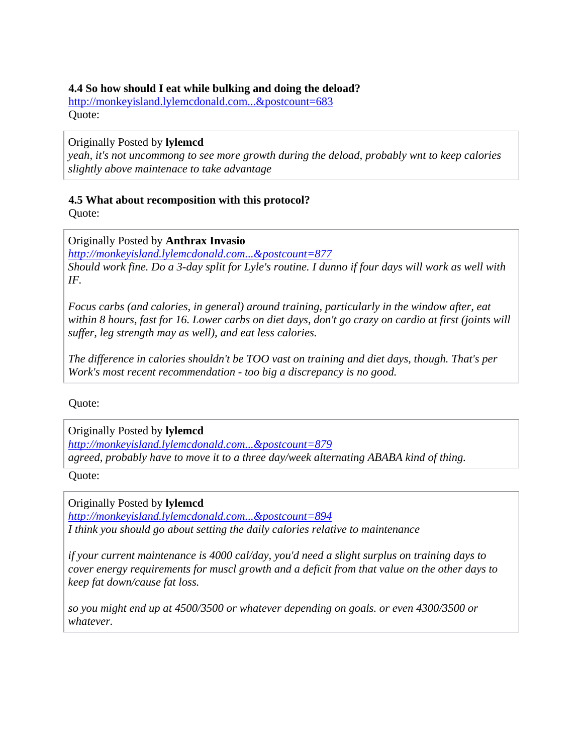#### <span id="page-26-0"></span>**4.4 So how should I eat while bulking and doing the deload?**

[http://monkeyisland.lylemcdonald.com...&postcount=683](http://monkeyisland.lylemcdonald.com/showpost.php?p=415933&postcount=683) Quote:

Originally Posted by **lylemcd**

*yeah, it's not uncommong to see more growth during the deload, probably wnt to keep calories slightly above maintenace to take advantage* 

## **4.5 What about recomposition with this protocol?**

Quote:

## Originally Posted by **Anthrax Invasio**

*[http://monkeyisland.lylemcdonald.com...&postcount=877](http://monkeyisland.lylemcdonald.com/showpost.php?p=749340&postcount=877) Should work fine. Do a 3-day split for Lyle's routine. I dunno if four days will work as well with IF.* 

*Focus carbs (and calories, in general) around training, particularly in the window after, eat within 8 hours, fast for 16. Lower carbs on diet days, don't go crazy on cardio at first (joints will suffer, leg strength may as well), and eat less calories.* 

*The difference in calories shouldn't be TOO vast on training and diet days, though. That's per Work's most recent recommendation - too big a discrepancy is no good.* 

Quote:

Originally Posted by **lylemcd** *[http://monkeyisland.lylemcdonald.com...&postcount=879](http://monkeyisland.lylemcdonald.com/showpost.php?p=749344&postcount=879) agreed, probably have to move it to a three day/week alternating ABABA kind of thing.* 

Quote:

Originally Posted by **lylemcd** *[http://monkeyisland.lylemcdonald.com...&postcount=894](http://monkeyisland.lylemcdonald.com/showpost.php?p=757556&postcount=894) I think you should go about setting the daily calories relative to maintenance* 

*if your current maintenance is 4000 cal/day, you'd need a slight surplus on training days to cover energy requirements for muscl growth and a deficit from that value on the other days to keep fat down/cause fat loss.* 

*so you might end up at 4500/3500 or whatever depending on goals. or even 4300/3500 or whatever.*